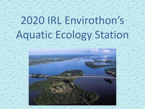# 2020 IRL Envirothon's Aquatic Ecology Station

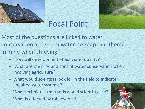



## Focal Point

Most of the questions are linked to water conservation and storm water, so keep that theme in mind when studying:

- How will development effect water quality?
- What are the pros and cons of water conservation when involving agriculture?
- What would scientists look for in the field to indicate impaired water systems?
- What techniques/methods would scientists use?
- What is effected by rain events?

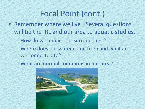### Focal Point (cont.)

- Remember where we live! Several questions will tie the IRL and our area to aquatic studies.
	- How do we impact our surroundings?
	- Where does our water come from and what are we connected to?
	- What are normal conditions in our area?

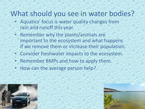#### What should you see in water bodies?

- Aquatics' focus is water quality changes from rain and runoff this year.
- Remember why the plants/animals are important to the ecosystem and what happens if we remove them or increase their population.
- Consider freshwater impacts to the ecosystem.
- Remember BMPs and how to apply them.
- How can the average person help?